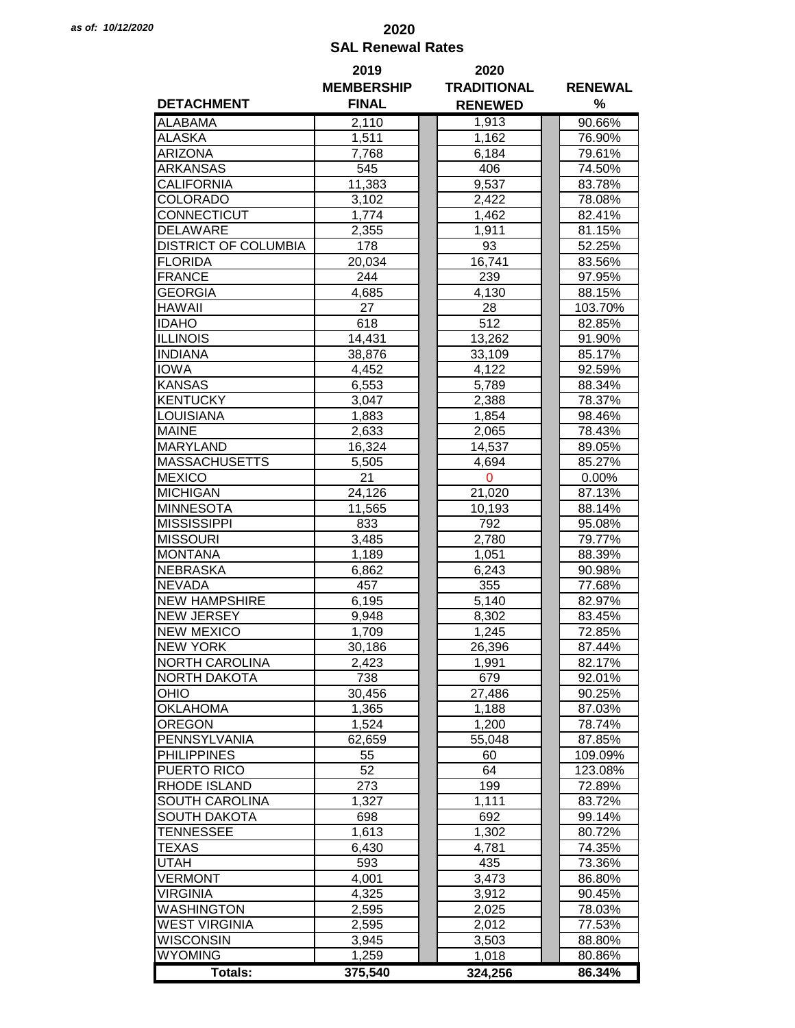## *as of: 10/12/2020* **2020 SAL Renewal Rates**

|                             | 2019              | 2020               |                |  |  |
|-----------------------------|-------------------|--------------------|----------------|--|--|
|                             | <b>MEMBERSHIP</b> | <b>TRADITIONAL</b> | <b>RENEWAL</b> |  |  |
| <b>DETACHMENT</b>           | <b>FINAL</b>      | <b>RENEWED</b>     | %              |  |  |
| <b>ALABAMA</b>              | 2,110             | 1,913              | 90.66%         |  |  |
| <b>ALASKA</b>               | 1,511             | 1,162              | 76.90%         |  |  |
| <b>ARIZONA</b>              | 7,768             | 6,184              | 79.61%         |  |  |
| <b>ARKANSAS</b>             | 545               | 406                | 74.50%         |  |  |
| <b>CALIFORNIA</b>           | 11,383            | 9,537              | 83.78%         |  |  |
| <b>COLORADO</b>             | 3,102             | 2,422              | 78.08%         |  |  |
| <b>CONNECTICUT</b>          | 1,774             | 1,462              | 82.41%         |  |  |
| <b>DELAWARE</b>             | 2,355             | 1,911              | 81.15%         |  |  |
| <b>DISTRICT OF COLUMBIA</b> | 178               | 93                 | 52.25%         |  |  |
| <b>FLORIDA</b>              | 20,034            | 16,741             | 83.56%         |  |  |
| <b>FRANCE</b>               | 244               | 239                | 97.95%         |  |  |
| <b>GEORGIA</b>              | 4,685             | 4,130              | 88.15%         |  |  |
| <b>HAWAII</b>               | 27                | 28                 | 103.70%        |  |  |
| <b>IDAHO</b>                | 618               | 512                | 82.85%         |  |  |
| <b>ILLINOIS</b>             | 14,431            | 13,262             | 91.90%         |  |  |
| <b>INDIANA</b>              | 38,876            | 33,109             |                |  |  |
|                             |                   |                    | 85.17%         |  |  |
| <b>IOWA</b>                 | 4,452             | 4,122              | 92.59%         |  |  |
| <b>KANSAS</b>               | 6,553             | 5,789              | 88.34%         |  |  |
| <b>KENTUCKY</b>             | 3,047             | 2,388              | 78.37%         |  |  |
| <b>LOUISIANA</b>            | 1,883             | 1,854              | 98.46%         |  |  |
| <b>MAINE</b>                | 2,633             | 2,065              | 78.43%         |  |  |
| <b>MARYLAND</b>             | 16,324            | 14,537             | 89.05%         |  |  |
| <b>MASSACHUSETTS</b>        | 5,505             | 4,694              | 85.27%         |  |  |
| <b>MEXICO</b>               | 21                | $\mathbf 0$        | $0.00\%$       |  |  |
| <b>MICHIGAN</b>             | 24,126            | 21,020             | 87.13%         |  |  |
| <b>MINNESOTA</b>            | 11,565            | 10,193             | 88.14%         |  |  |
| <b>MISSISSIPPI</b>          | 833               | 792                | 95.08%         |  |  |
| <b>MISSOURI</b>             | 3,485             | 2,780              | 79.77%         |  |  |
| <b>MONTANA</b>              | 1,189             | 1,051              | 88.39%         |  |  |
| <b>NEBRASKA</b>             | 6,862             | 6,243              | 90.98%         |  |  |
| <b>NEVADA</b>               | 457               | 355                | 77.68%         |  |  |
| <b>NEW HAMPSHIRE</b>        | 6,195             | 5,140              | 82.97%         |  |  |
| <b>NEW JERSEY</b>           | 9,948             | 8,302              | 83.45%         |  |  |
| <b>NEW MEXICO</b>           |                   | 1,245              | 72.85%         |  |  |
|                             | 1,709             |                    |                |  |  |
| <b>NEW YORK</b>             | 30,186            | 26,396             | 87.44%         |  |  |
| <b>NORTH CAROLINA</b>       | 2,423             | 1,991              | 82.17%         |  |  |
| <b>NORTH DAKOTA</b>         | 738               | 679                | 92.01%         |  |  |
| <b>OHIO</b>                 | 30,456            | 27,486             | 90.25%         |  |  |
| <b>OKLAHOMA</b>             | 1,365             | 1,188              | 87.03%         |  |  |
| <b>OREGON</b>               | 1,524             | 1,200              | 78.74%         |  |  |
| PENNSYLVANIA                | 62,659            | 55,048             | 87.85%         |  |  |
| <b>PHILIPPINES</b>          | 55                | 60                 | 109.09%        |  |  |
| PUERTO RICO                 | 52                | 64                 | 123.08%        |  |  |
| <b>RHODE ISLAND</b>         | 273               | 199                | 72.89%         |  |  |
| <b>SOUTH CAROLINA</b>       | 1,327             | 1,111              | 83.72%         |  |  |
| <b>SOUTH DAKOTA</b>         | 698               | 692                | 99.14%         |  |  |
| <b>TENNESSEE</b>            | 1,613             | 1,302              | 80.72%         |  |  |
| <b>TEXAS</b>                | 6,430             | 4,781              | 74.35%         |  |  |
| <b>UTAH</b>                 | 593               | 435                | 73.36%         |  |  |
| <b>VERMONT</b>              | 4,001             | 3,473              | 86.80%         |  |  |
| <b>VIRGINIA</b>             | 4,325             | 3,912              | 90.45%         |  |  |
| <b>WASHINGTON</b>           | 2,595             | 2,025              | 78.03%         |  |  |
| <b>WEST VIRGINIA</b>        | 2,595             | 2,012              | 77.53%         |  |  |
| <b>WISCONSIN</b>            | 3,945             | 3,503              | 88.80%         |  |  |
| <b>WYOMING</b>              |                   |                    |                |  |  |
|                             | 1,259             | 1,018              | 80.86%         |  |  |
| <b>Totals:</b>              | 375,540           | 324,256            | 86.34%         |  |  |